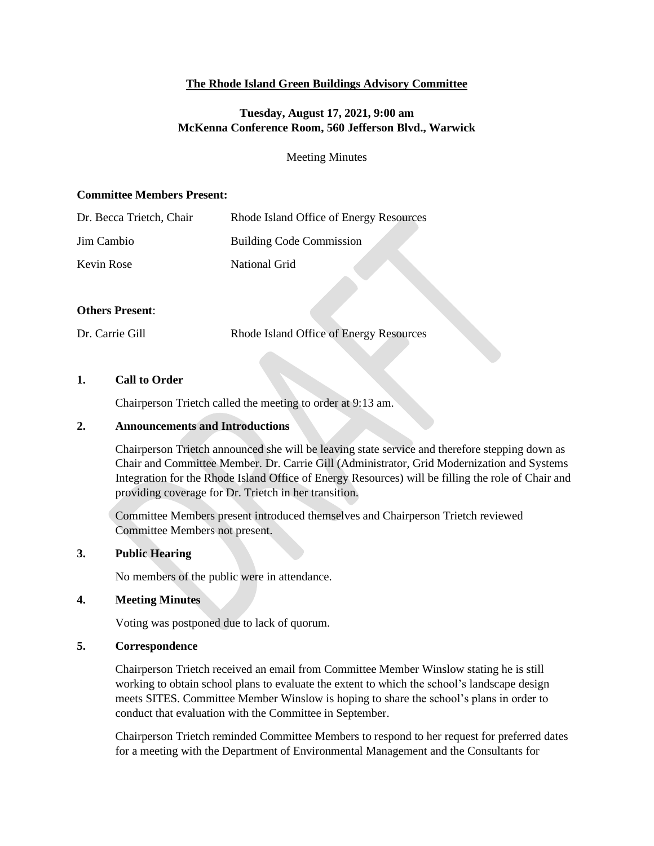## **The Rhode Island Green Buildings Advisory Committee**

## **Tuesday, August 17, 2021, 9:00 am McKenna Conference Room, 560 Jefferson Blvd., Warwick**

Meeting Minutes

#### **Committee Members Present:**

| Dr. Becca Trietch, Chair | Rhode Island Office of Energy Resources |
|--------------------------|-----------------------------------------|
| Jim Cambio               | <b>Building Code Commission</b>         |
| Kevin Rose               | National Grid                           |

#### **Others Present**:

Dr. Carrie Gill Rhode Island Office of Energy Resources

## **1. Call to Order**

Chairperson Trietch called the meeting to order at 9:13 am.

#### **2. Announcements and Introductions**

Chairperson Trietch announced she will be leaving state service and therefore stepping down as Chair and Committee Member. Dr. Carrie Gill (Administrator, Grid Modernization and Systems Integration for the Rhode Island Office of Energy Resources) will be filling the role of Chair and providing coverage for Dr. Trietch in her transition.

Committee Members present introduced themselves and Chairperson Trietch reviewed Committee Members not present.

## **3. Public Hearing**

No members of the public were in attendance.

## **4. Meeting Minutes**

Voting was postponed due to lack of quorum.

#### **5. Correspondence**

Chairperson Trietch received an email from Committee Member Winslow stating he is still working to obtain school plans to evaluate the extent to which the school's landscape design meets SITES. Committee Member Winslow is hoping to share the school's plans in order to conduct that evaluation with the Committee in September.

Chairperson Trietch reminded Committee Members to respond to her request for preferred dates for a meeting with the Department of Environmental Management and the Consultants for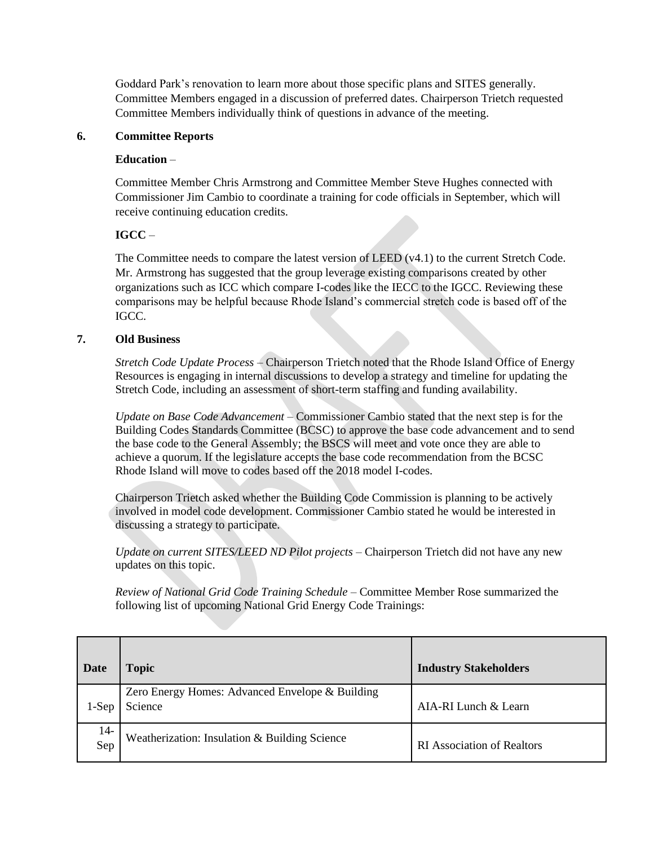Goddard Park's renovation to learn more about those specific plans and SITES generally. Committee Members engaged in a discussion of preferred dates. Chairperson Trietch requested Committee Members individually think of questions in advance of the meeting.

## **6. Committee Reports**

## **Education** –

Committee Member Chris Armstrong and Committee Member Steve Hughes connected with Commissioner Jim Cambio to coordinate a training for code officials in September, which will receive continuing education credits.

# **IGCC** –

The Committee needs to compare the latest version of LEED (v4.1) to the current Stretch Code. Mr. Armstrong has suggested that the group leverage existing comparisons created by other organizations such as ICC which compare I-codes like the IECC to the IGCC. Reviewing these comparisons may be helpful because Rhode Island's commercial stretch code is based off of the IGCC.

## **7. Old Business**

*Stretch Code Update Process –* Chairperson Trietch noted that the Rhode Island Office of Energy Resources is engaging in internal discussions to develop a strategy and timeline for updating the Stretch Code, including an assessment of short-term staffing and funding availability.

*Update on Base Code Advancement –* Commissioner Cambio stated that the next step is for the Building Codes Standards Committee (BCSC) to approve the base code advancement and to send the base code to the General Assembly; the BSCS will meet and vote once they are able to achieve a quorum. If the legislature accepts the base code recommendation from the BCSC Rhode Island will move to codes based off the 2018 model I-codes.

Chairperson Trietch asked whether the Building Code Commission is planning to be actively involved in model code development. Commissioner Cambio stated he would be interested in discussing a strategy to participate.

*Update on current SITES/LEED ND Pilot projects* – Chairperson Trietch did not have any new updates on this topic.

*Review of National Grid Code Training Schedule* – Committee Member Rose summarized the following list of upcoming National Grid Energy Code Trainings:

| Date       | <b>Topic</b>                                               | <b>Industry Stakeholders</b>      |
|------------|------------------------------------------------------------|-----------------------------------|
| $1-Sep$    | Zero Energy Homes: Advanced Envelope & Building<br>Science | $AIA-RI$ Lunch & Learn            |
| 14-<br>Sep | Weatherization: Insulation & Building Science              | <b>RI</b> Association of Realtors |